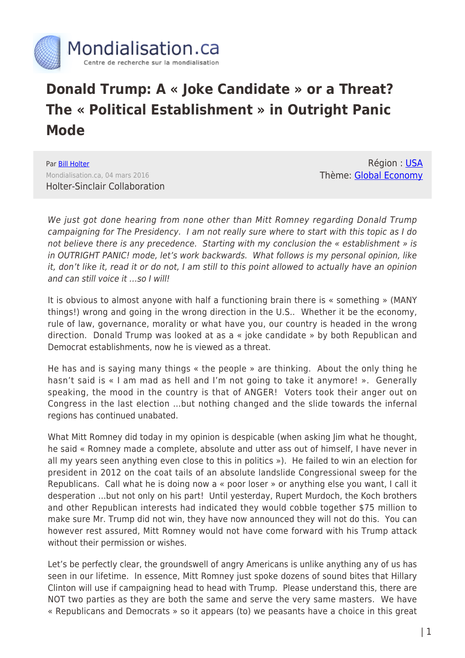

## **Donald Trump: A « Joke Candidate » or a Threat? The « Political Establishment » in Outright Panic Mode**

Par [Bill Holter](https://www.mondialisation.ca/author/holter) Mondialisation.ca, 04 mars 2016 Holter-Sinclair Collaboration

Région : [USA](https://www.mondialisation.ca/region/usa) Thème: [Global Economy](https://www.mondialisation.ca/theme/global-economy)

We just got done hearing from none other than Mitt Romney regarding Donald Trump campaigning for The Presidency. I am not really sure where to start with this topic as I do not believe there is any precedence. Starting with my conclusion the « establishment » is in OUTRIGHT PANIC! mode, let's work backwards. What follows is my personal opinion, like it, don't like it, read it or do not, I am still to this point allowed to actually have an opinion and can still voice it …so I will!

It is obvious to almost anyone with half a functioning brain there is « something » (MANY things!) wrong and going in the wrong direction in the U.S.. Whether it be the economy, rule of law, governance, morality or what have you, our country is headed in the wrong direction. Donald Trump was looked at as a « joke candidate » by both Republican and Democrat establishments, now he is viewed as a threat.

He has and is saying many things « the people » are thinking. About the only thing he hasn't said is « I am mad as hell and I'm not going to take it anymore! ». Generally speaking, the mood in the country is that of ANGER! Voters took their anger out on Congress in the last election …but nothing changed and the slide towards the infernal regions has continued unabated.

What Mitt Romney did today in my opinion is despicable (when asking Jim what he thought, he said « Romney made a complete, absolute and utter ass out of himself, I have never in all my years seen anything even close to this in politics »). He failed to win an election for president in 2012 on the coat tails of an absolute landslide Congressional sweep for the Republicans. Call what he is doing now a « poor loser » or anything else you want, I call it desperation …but not only on his part! Until yesterday, Rupert Murdoch, the Koch brothers and other Republican interests had indicated they would cobble together \$75 million to make sure Mr. Trump did not win, they have now announced they will not do this. You can however rest assured, Mitt Romney would not have come forward with his Trump attack without their permission or wishes.

Let's be perfectly clear, the groundswell of angry Americans is unlike anything any of us has seen in our lifetime. In essence, Mitt Romney just spoke dozens of sound bites that Hillary Clinton will use if campaigning head to head with Trump. Please understand this, there are NOT two parties as they are both the same and serve the very same masters. We have « Republicans and Democrats » so it appears (to) we peasants have a choice in this great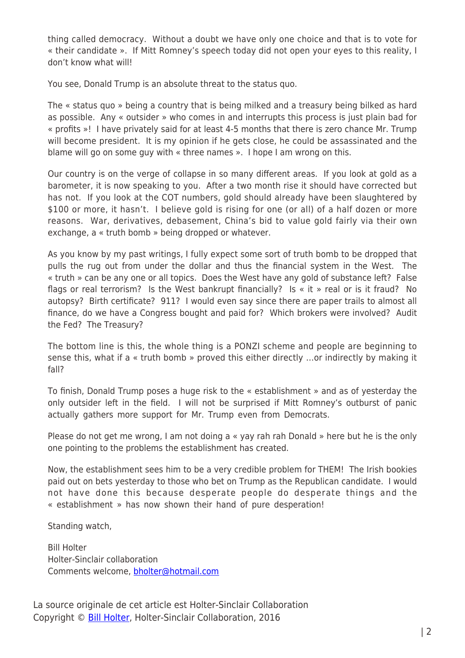thing called democracy. Without a doubt we have only one choice and that is to vote for « their candidate ». If Mitt Romney's speech today did not open your eyes to this reality, I don't know what will!

You see, Donald Trump is an absolute threat to the status quo.

The « status quo » being a country that is being milked and a treasury being bilked as hard as possible. Any « outsider » who comes in and interrupts this process is just plain bad for « profits »! I have privately said for at least 4-5 months that there is zero chance Mr. Trump will become president. It is my opinion if he gets close, he could be assassinated and the blame will go on some guy with « three names ». I hope I am wrong on this.

Our country is on the verge of collapse in so many different areas. If you look at gold as a barometer, it is now speaking to you. After a two month rise it should have corrected but has not. If you look at the COT numbers, gold should already have been slaughtered by \$100 or more, it hasn't. I believe gold is rising for one (or all) of a half dozen or more reasons. War, derivatives, debasement, China's bid to value gold fairly via their own exchange, a « truth bomb » being dropped or whatever.

As you know by my past writings, I fully expect some sort of truth bomb to be dropped that pulls the rug out from under the dollar and thus the financial system in the West. The « truth » can be any one or all topics. Does the West have any gold of substance left? False flags or real terrorism? Is the West bankrupt financially? Is « it » real or is it fraud? No autopsy? Birth certificate? 911? I would even say since there are paper trails to almost all finance, do we have a Congress bought and paid for? Which brokers were involved? Audit the Fed? The Treasury?

The bottom line is this, the whole thing is a PONZI scheme and people are beginning to sense this, what if a « truth bomb » proved this either directly …or indirectly by making it fall?

To finish, Donald Trump poses a huge risk to the « establishment » and as of yesterday the only outsider left in the field. I will not be surprised if Mitt Romney's outburst of panic actually gathers more support for Mr. Trump even from Democrats.

Please do not get me wrong, I am not doing a « yay rah rah Donald » here but he is the only one pointing to the problems the establishment has created.

Now, the establishment sees him to be a very credible problem for THEM! The Irish bookies paid out on bets yesterday to those who bet on Trump as the Republican candidate. I would not have done this because desperate people do desperate things and the « establishment » has now shown their hand of pure desperation!

Standing watch,

Bill Holter Holter-Sinclair collaboration Comments welcome, [bholter@hotmail.com](mailto:bholter@hotmail.com)

La source originale de cet article est Holter-Sinclair Collaboration Copyright © [Bill Holter,](https://www.mondialisation.ca/author/holter) Holter-Sinclair Collaboration, 2016